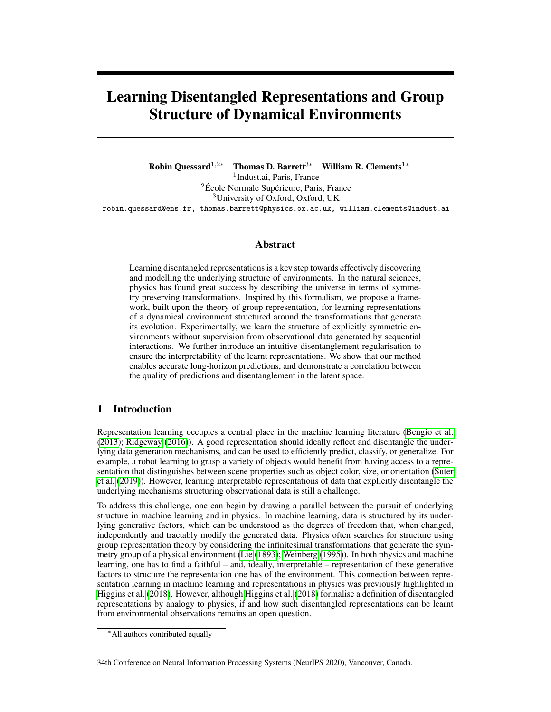# Learning Disentangled Representations and Group Structure of Dynamical Environments

Robin Quessard<sup>1,2∗</sup> Thomas D. Barrett<sup>3</sup><sup>∗</sup> William R. Clements<sup>1</sup><sup>∗</sup> 1 Indust.ai, Paris, France <sup>2</sup>École Normale Supérieure, Paris, France <sup>3</sup>University of Oxford, Oxford, UK robin.quessard@ens.fr, thomas.barrett@physics.ox.ac.uk, william.clements@indust.ai

# Abstract

Learning disentangled representations is a key step towards effectively discovering and modelling the underlying structure of environments. In the natural sciences, physics has found great success by describing the universe in terms of symmetry preserving transformations. Inspired by this formalism, we propose a framework, built upon the theory of group representation, for learning representations of a dynamical environment structured around the transformations that generate its evolution. Experimentally, we learn the structure of explicitly symmetric environments without supervision from observational data generated by sequential interactions. We further introduce an intuitive disentanglement regularisation to ensure the interpretability of the learnt representations. We show that our method enables accurate long-horizon predictions, and demonstrate a correlation between the quality of predictions and disentanglement in the latent space.

# 1 Introduction

Representation learning occupies a central place in the machine learning literature [\(Bengio et al.](#page-8-0) [\(2013\)](#page-8-0); [Ridgeway](#page-10-0) [\(2016\)](#page-10-0)). A good representation should ideally reflect and disentangle the underlying data generation mechanisms, and can be used to efficiently predict, classify, or generalize. For example, a robot learning to grasp a variety of objects would benefit from having access to a representation that distinguishes between scene properties such as object color, size, or orientation [\(Suter](#page-10-1) [et al.](#page-10-1) [\(2019\)](#page-10-1)). However, learning interpretable representations of data that explicitly disentangle the underlying mechanisms structuring observational data is still a challenge.

To address this challenge, one can begin by drawing a parallel between the pursuit of underlying structure in machine learning and in physics. In machine learning, data is structured by its underlying generative factors, which can be understood as the degrees of freedom that, when changed, independently and tractably modify the generated data. Physics often searches for structure using group representation theory by considering the infinitesimal transformations that generate the symmetry group of a physical environment [\(Lie](#page-10-2) [\(1893\)](#page-10-2); [Weinberg](#page-10-3) [\(1995\)](#page-10-3)). In both physics and machine learning, one has to find a faithful – and, ideally, interpretable – representation of these generative factors to structure the representation one has of the environment. This connection between representation learning in machine learning and representations in physics was previously highlighted in [Higgins et al.](#page-9-0) [\(2018\)](#page-9-0). However, although [Higgins et al.](#page-9-0) [\(2018\)](#page-9-0) formalise a definition of disentangled representations by analogy to physics, if and how such disentangled representations can be learnt from environmental observations remains an open question.

<sup>∗</sup>All authors contributed equally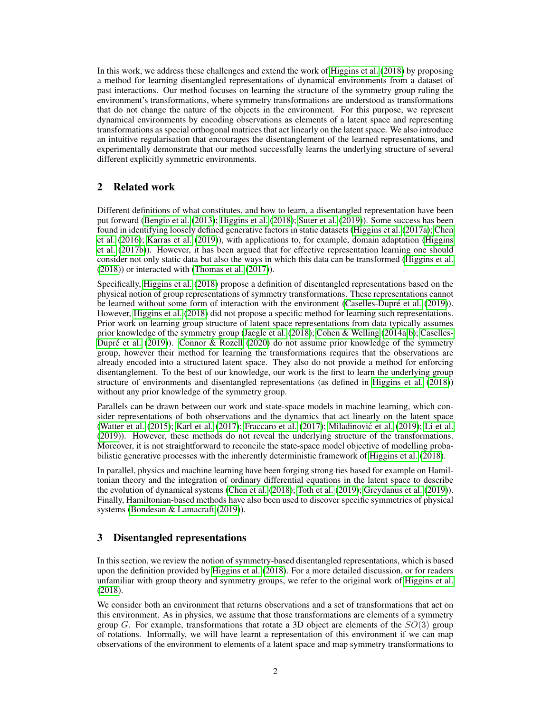In this work, we address these challenges and extend the work of [Higgins et al.](#page-9-0) [\(2018\)](#page-9-0) by proposing a method for learning disentangled representations of dynamical environments from a dataset of past interactions. Our method focuses on learning the structure of the symmetry group ruling the environment's transformations, where symmetry transformations are understood as transformations that do not change the nature of the objects in the environment. For this purpose, we represent dynamical environments by encoding observations as elements of a latent space and representing transformations as special orthogonal matrices that act linearly on the latent space. We also introduce an intuitive regularisation that encourages the disentanglement of the learned representations, and experimentally demonstrate that our method successfully learns the underlying structure of several different explicitly symmetric environments.

# 2 Related work

Different definitions of what constitutes, and how to learn, a disentangled representation have been put forward [\(Bengio et al.](#page-8-0) [\(2013\)](#page-8-0); [Higgins et al.](#page-9-0) [\(2018\)](#page-9-0); [Suter et al.](#page-10-1) [\(2019\)](#page-10-1)). Some success has been found in identifying loosely defined generative factors in static datasets [\(Higgins et al.](#page-9-1) [\(2017a\)](#page-9-1); [Chen](#page-9-2) [et al.](#page-9-2) [\(2016\)](#page-9-2); [Karras et al.](#page-10-4) [\(2019\)](#page-10-4)), with applications to, for example, domain adaptation [\(Higgins](#page-9-3) [et al.](#page-9-3) [\(2017b\)](#page-9-3)). However, it has been argued that for effective representation learning one should consider not only static data but also the ways in which this data can be transformed [\(Higgins et al.](#page-9-0) [\(2018\)](#page-9-0)) or interacted with [\(Thomas et al.](#page-10-5) [\(2017\)](#page-10-5)).

Specifically, [Higgins et al.](#page-9-0) [\(2018\)](#page-9-0) propose a definition of disentangled representations based on the physical notion of group representations of symmetry transformations. These representations cannot be learned without some form of interaction with the environment [\(Caselles-Dupré et al.](#page-9-4) [\(2019\)](#page-9-4)). However, [Higgins et al.](#page-9-0) [\(2018\)](#page-9-0) did not propose a specific method for learning such representations. Prior work on learning group structure of latent space representations from data typically assumes prior knowledge of the symmetry group [\(Jaegle et al.](#page-9-5) [\(2018\)](#page-9-5); [Cohen & Welling](#page-9-6) [\(2014a,](#page-9-6)[b\)](#page-9-7); [Caselles-](#page-9-4)[Dupré et al.](#page-9-4) [\(2019\)](#page-9-4)). [Connor & Rozell](#page-9-8) [\(2020\)](#page-9-8) do not assume prior knowledge of the symmetry group, however their method for learning the transformations requires that the observations are already encoded into a structured latent space. They also do not provide a method for enforcing disentanglement. To the best of our knowledge, our work is the first to learn the underlying group structure of environments and disentangled representations (as defined in [Higgins et al.](#page-9-0) [\(2018\)](#page-9-0)) without any prior knowledge of the symmetry group.

Parallels can be drawn between our work and state-space models in machine learning, which consider representations of both observations and the dynamics that act linearly on the latent space [\(Watter et al.](#page-10-6) [\(2015\)](#page-10-6); [Karl et al.](#page-10-7) [\(2017\)](#page-10-7); [Fraccaro et al.](#page-9-9) [\(2017\)](#page-9-9); [Miladinovic et al.](#page-10-8) [\(2019\)](#page-10-8); [Li et al.](#page-10-9) ´ [\(2019\)](#page-10-9)). However, these methods do not reveal the underlying structure of the transformations. Moreover, it is not straightforward to reconcile the state-space model objective of modelling probabilistic generative processes with the inherently deterministic framework of [Higgins et al.](#page-9-0) [\(2018\)](#page-9-0).

In parallel, physics and machine learning have been forging strong ties based for example on Hamiltonian theory and the integration of ordinary differential equations in the latent space to describe the evolution of dynamical systems [\(Chen et al.](#page-9-10) [\(2018\)](#page-9-10); [Toth et al.](#page-10-10) [\(2019\)](#page-10-10); [Greydanus et al.](#page-9-11) [\(2019\)](#page-9-11)). Finally, Hamiltonian-based methods have also been used to discover specific symmetries of physical systems [\(Bondesan & Lamacraft](#page-8-1) [\(2019\)](#page-8-1)).

# <span id="page-1-0"></span>3 Disentangled representations

In this section, we review the notion of symmetry-based disentangled representations, which is based upon the definition provided by [Higgins et al.](#page-9-0) [\(2018\)](#page-9-0). For a more detailed discussion, or for readers unfamiliar with group theory and symmetry groups, we refer to the original work of [Higgins et al.](#page-9-0) [\(2018\)](#page-9-0).

We consider both an environment that returns observations and a set of transformations that act on this environment. As in physics, we assume that those transformations are elements of a symmetry group G. For example, transformations that rotate a 3D object are elements of the  $SO(3)$  group of rotations. Informally, we will have learnt a representation of this environment if we can map observations of the environment to elements of a latent space and map symmetry transformations to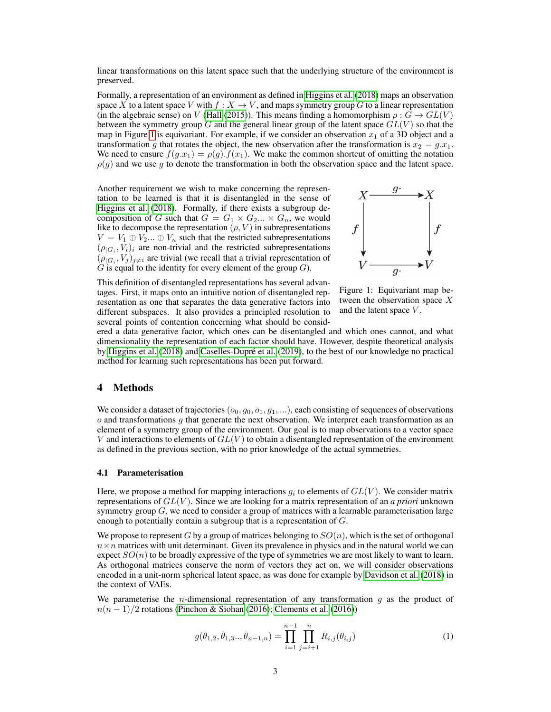linear transformations on this latent space such that the underlying structure of the environment is preserved.

Formally, a representation of an environment as defined in [Higgins et al.](#page-9-0) [\(2018\)](#page-9-0) maps an observation space X to a latent space V with  $f: X \to V$ , and maps symmetry group G to a linear representation (in the algebraic sense) on V [\(Hall](#page-9-12) [\(2015\)](#page-9-12)). This means finding a homomorphism  $\rho : G \to GL(V)$ between the symmetry group G and the general linear group of the latent space  $GL(V)$  so that the map in Figure [1](#page-2-0) is equivariant. For example, if we consider an observation  $x_1$  of a 3D object and a transformation g that rotates the object, the new observation after the transformation is  $x_2 = g.x_1$ . We need to ensure  $f(g.x_1) = \rho(g) \cdot f(x_1)$ . We make the common shortcut of omitting the notation  $\rho(g)$  and we use g to denote the transformation in both the observation space and the latent space.

Another requirement we wish to make concerning the representation to be learned is that it is disentangled in the sense of [Higgins et al.](#page-9-0) [\(2018\)](#page-9-0). Formally, if there exists a subgroup decomposition of G such that  $G = G_1 \times G_2 \dots \times G_n$ , we would like to decompose the representation  $(\rho, V)$  in subrepresentations  $V = V_1 \oplus V_2... \oplus V_n$  such that the restricted subrepresentations  $(\rho_{|G_i}, V_i)_i$  are non-trivial and the restricted subrepresentations  $(\rho_{|G_i}, V_j)_{j \neq i}$  are trivial (we recall that a trivial representation of  $G$  is equal to the identity for every element of the group  $G$ ).

<span id="page-2-0"></span>

This definition of disentangled representations has several advantages. First, it maps onto an intuitive notion of disentangled representation as one that separates the data generative factors into different subspaces. It also provides a principled resolution to several points of contention concerning what should be consid-

Figure 1: Equivariant map between the observation space X and the latent space V.

ered a data generative factor, which ones can be disentangled and which ones cannot, and what dimensionality the representation of each factor should have. However, despite theoretical analysis by [Higgins et al.](#page-9-0) [\(2018\)](#page-9-0) and [Caselles-Dupré et al.](#page-9-4) [\(2019\)](#page-9-4), to the best of our knowledge no practical method for learning such representations has been put forward.

## 4 Methods

We consider a dataset of trajectories  $(o_0, g_0, o_1, g_1, \ldots)$ , each consisting of sequences of observations  $\alpha$  and transformations  $q$  that generate the next observation. We interpret each transformation as an element of a symmetry group of the environment. Our goal is to map observations to a vector space V and interactions to elements of  $GL(V)$  to obtain a disentangled representation of the environment as defined in the previous section, with no prior knowledge of the actual symmetries.

#### <span id="page-2-1"></span>4.1 Parameterisation

Here, we propose a method for mapping interactions  $g_i$  to elements of  $GL(V)$ . We consider matrix representations of GL(V ). Since we are looking for a matrix representation of an *a priori* unknown symmetry group  $G$ , we need to consider a group of matrices with a learnable parameterisation large enough to potentially contain a subgroup that is a representation of G.

We propose to represent G by a group of matrices belonging to  $SO(n)$ , which is the set of orthogonal  $n \times n$  matrices with unit determinant. Given its prevalence in physics and in the natural world we can expect  $SO(n)$  to be broadly expressive of the type of symmetries we are most likely to want to learn. As orthogonal matrices conserve the norm of vectors they act on, we will consider observations encoded in a unit-norm spherical latent space, as was done for example by [Davidson et al.](#page-9-13) [\(2018\)](#page-9-13) in the context of VAEs.

We parameterise the *n*-dimensional representation of any transformation  $q$  as the product of  $n(n-1)/2$  rotations [\(Pinchon & Siohan](#page-10-11) [\(2016\)](#page-9-14); [Clements et al.](#page-9-14) (2016))

$$
g(\theta_{1,2}, \theta_{1,3}...,\theta_{n-1,n}) = \prod_{i=1}^{n-1} \prod_{j=i+1}^{n} R_{i,j}(\theta_{i,j})
$$
(1)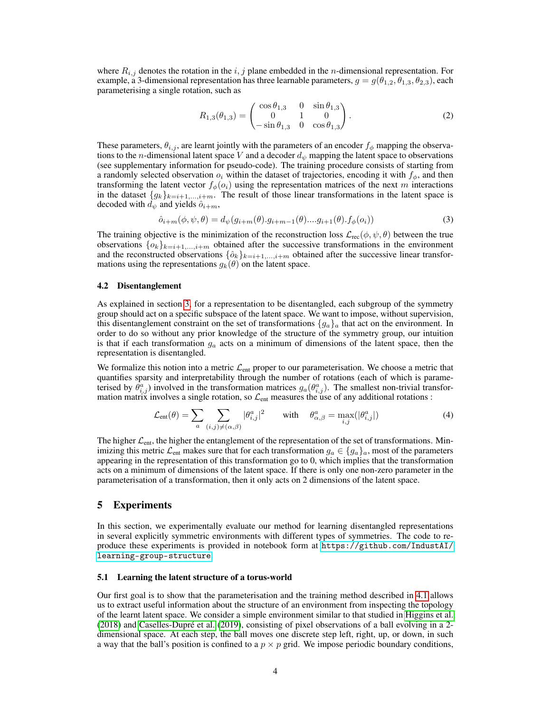where  $R_{i,j}$  denotes the rotation in the i, j plane embedded in the n-dimensional representation. For example, a 3-dimensional representation has three learnable parameters,  $g = g(\theta_{1,2}, \theta_{1,3}, \theta_{2,3})$ , each parameterising a single rotation, such as

$$
R_{1,3}(\theta_{1,3}) = \begin{pmatrix} \cos \theta_{1,3} & 0 & \sin \theta_{1,3} \\ 0 & 1 & 0 \\ -\sin \theta_{1,3} & 0 & \cos \theta_{1,3} \end{pmatrix}.
$$
 (2)

These parameters,  $\theta_{i,j}$ , are learnt jointly with the parameters of an encoder  $f_{\phi}$  mapping the observations to the *n*-dimensional latent space V and a decoder  $d_{\psi}$  mapping the latent space to observations (see supplementary information for pseudo-code). The training procedure consists of starting from a randomly selected observation  $o_i$  within the dataset of trajectories, encoding it with  $f_{\phi}$ , and then transforming the latent vector  $f_{\phi}(o_i)$  using the representation matrices of the next m interactions in the dataset  $\{g_k\}_{k=i+1,\dots,i+m}$ . The result of those linear transformations in the latent space is decoded with  $d_{\psi}$  and yields  $\hat{o}_{i+m}$ ,

$$
\hat{o}_{i+m}(\phi,\psi,\theta) = d_{\psi}(g_{i+m}(\theta).g_{i+m-1}(\theta)...g_{i+1}(\theta).f_{\phi}(o_i))
$$
\n(3)

The training objective is the minimization of the reconstruction loss  $\mathcal{L}_{rec}(\phi, \psi, \theta)$  between the true observations  $\{o_k\}_{k=i+1,\dots,i+m}$  obtained after the successive transformations in the environment and the reconstructed observations  $\{\hat{o}_k\}_{k=i+1,\dots,i+m}$  obtained after the successive linear transformations using the representations  $g_k(\theta)$  on the latent space.

#### <span id="page-3-0"></span>4.2 Disentanglement

As explained in section [3,](#page-1-0) for a representation to be disentangled, each subgroup of the symmetry group should act on a specific subspace of the latent space. We want to impose, without supervision, this disentanglement constraint on the set of transformations  ${g_a}_a$  that act on the environment. In order to do so without any prior knowledge of the structure of the symmetry group, our intuition is that if each transformation  $g_a$  acts on a minimum of dimensions of the latent space, then the representation is disentangled.

We formalize this notion into a metric  $\mathcal{L}_{ent}$  proper to our parameterisation. We choose a metric that quantifies sparsity and interpretability through the number of rotations (each of which is parameterised by  $\hat{\theta}_{i,j}^a$ ) involved in the transformation matrices  $g_a(\theta_{i,j}^a)$ . The smallest non-trivial transformation matrix involves a single rotation, so  $\mathcal{L}_{ent}$  measures the use of any additional rotations :

<span id="page-3-1"></span>
$$
\mathcal{L}_{\text{ent}}(\theta) = \sum_{a} \sum_{(i,j) \neq (\alpha,\beta)} |\theta_{i,j}^{a}|^2 \quad \text{with} \quad \theta_{\alpha,\beta}^{a} = \max_{i,j} (|\theta_{i,j}^{a}|)
$$
(4)

The higher  $\mathcal{L}_{ent}$ , the higher the entanglement of the representation of the set of transformations. Minimizing this metric  $\mathcal{L}_{ent}$  makes sure that for each transformation  $g_a \in \{g_a\}_a$ , most of the parameters appearing in the representation of this transformation go to 0, which implies that the transformation acts on a minimum of dimensions of the latent space. If there is only one non-zero parameter in the parameterisation of a transformation, then it only acts on 2 dimensions of the latent space.

## 5 Experiments

In this section, we experimentally evaluate our method for learning disentangled representations in several explicitly symmetric environments with different types of symmetries. The code to reproduce these experiments is provided in notebook form at [https://github.com/IndustAI/](https://github.com/IndustAI/learning-group-structure) [learning-group-structure](https://github.com/IndustAI/learning-group-structure).

#### 5.1 Learning the latent structure of a torus-world

Our first goal is to show that the parameterisation and the training method described in [4.1](#page-2-1) allows us to extract useful information about the structure of an environment from inspecting the topology of the learnt latent space. We consider a simple environment similar to that studied in [Higgins et al.](#page-9-0) [\(2018\)](#page-9-0) and [Caselles-Dupré et al.](#page-9-4) [\(2019\)](#page-9-4), consisting of pixel observations of a ball evolving in a 2 dimensional space. At each step, the ball moves one discrete step left, right, up, or down, in such a way that the ball's position is confined to a  $p \times p$  grid. We impose periodic boundary conditions,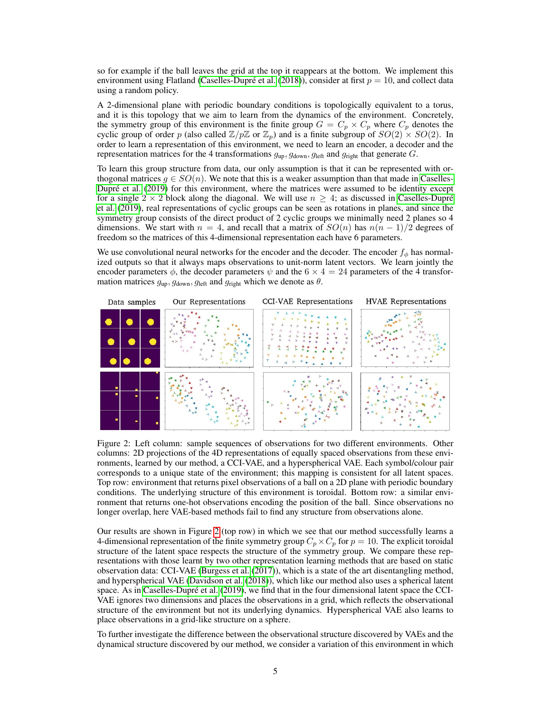so for example if the ball leaves the grid at the top it reappears at the bottom. We implement this environment using Flatland [\(Caselles-Dupré et al.](#page-9-15) [\(2018\)](#page-9-15)), consider at first  $p = 10$ , and collect data using a random policy.

A 2-dimensional plane with periodic boundary conditions is topologically equivalent to a torus, and it is this topology that we aim to learn from the dynamics of the environment. Concretely, the symmetry group of this environment is the finite group  $G = C_p \times C_p$  where  $C_p$  denotes the cyclic group of order p (also called  $\mathbb{Z}/p\mathbb{Z}$  or  $\mathbb{Z}_p$ ) and is a finite subgroup of  $SO(2) \times SO(2)$ . In order to learn a representation of this environment, we need to learn an encoder, a decoder and the representation matrices for the 4 transformations  $g_{\text{up}}$ ,  $g_{\text{down}}$ ,  $g_{\text{left}}$  and  $g_{\text{right}}$  that generate G.

To learn this group structure from data, our only assumption is that it can be represented with orthogonal matrices  $q \in SO(n)$ . We note that this is a weaker assumption than that made in [Caselles-](#page-9-4)[Dupré et al.](#page-9-4) [\(2019\)](#page-9-4) for this environment, where the matrices were assumed to be identity except for a single  $2 \times 2$  block along the diagonal. We will use  $n \geq 4$ ; as discussed in [Caselles-Dupré](#page-9-4) [et al.](#page-9-4) [\(2019\)](#page-9-4), real representations of cyclic groups can be seen as rotations in planes, and since the symmetry group consists of the direct product of 2 cyclic groups we minimally need 2 planes so 4 dimensions. We start with  $n = 4$ , and recall that a matrix of  $SO(n)$  has  $n(n - 1)/2$  degrees of freedom so the matrices of this 4-dimensional representation each have 6 parameters.

We use convolutional neural networks for the encoder and the decoder. The encoder  $f_{\phi}$  has normalized outputs so that it always maps observations to unit-norm latent vectors. We learn jointly the encoder parameters  $\phi$ , the decoder parameters  $\psi$  and the  $6 \times 4 = 24$  parameters of the 4 transformation matrices  $g_{\text{up}}$ ,  $g_{\text{down}}$ ,  $g_{\text{left}}$  and  $g_{\text{right}}$  which we denote as  $\theta$ .

<span id="page-4-0"></span>

Figure 2: Left column: sample sequences of observations for two different environments. Other columns: 2D projections of the 4D representations of equally spaced observations from these environments, learned by our method, a CCI-VAE, and a hyperspherical VAE. Each symbol/colour pair corresponds to a unique state of the environment; this mapping is consistent for all latent spaces. Top row: environment that returns pixel observations of a ball on a 2D plane with periodic boundary conditions. The underlying structure of this environment is toroidal. Bottom row: a similar environment that returns one-hot observations encoding the position of the ball. Since observations no longer overlap, here VAE-based methods fail to find any structure from observations alone.

Our results are shown in Figure [2](#page-4-0) (top row) in which we see that our method successfully learns a 4-dimensional representation of the finite symmetry group  $C_p \times C_p$  for  $p = 10$ . The explicit toroidal structure of the latent space respects the structure of the symmetry group. We compare these representations with those learnt by two other representation learning methods that are based on static observation data: CCI-VAE [\(Burgess et al.](#page-9-16) [\(2017\)](#page-9-16)), which is a state of the art disentangling method, and hyperspherical VAE [\(Davidson et al.](#page-9-13) [\(2018\)](#page-9-13)), which like our method also uses a spherical latent space. As in [Caselles-Dupré et al.](#page-9-4) [\(2019\)](#page-9-4), we find that in the four dimensional latent space the CCI-VAE ignores two dimensions and places the observations in a grid, which reflects the observational structure of the environment but not its underlying dynamics. Hyperspherical VAE also learns to place observations in a grid-like structure on a sphere.

To further investigate the difference between the observational structure discovered by VAEs and the dynamical structure discovered by our method, we consider a variation of this environment in which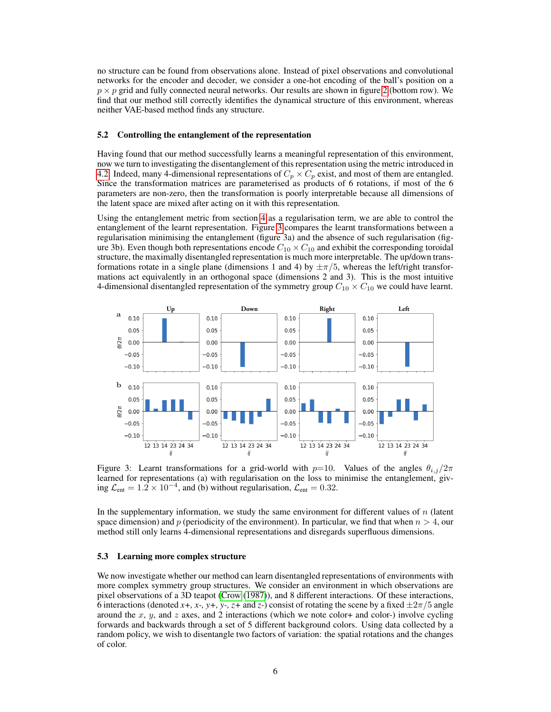no structure can be found from observations alone. Instead of pixel observations and convolutional networks for the encoder and decoder, we consider a one-hot encoding of the ball's position on a  $p \times p$  grid and fully connected neural networks. Our results are shown in figure [2](#page-4-0) (bottom row). We find that our method still correctly identifies the dynamical structure of this environment, whereas neither VAE-based method finds any structure.

#### 5.2 Controlling the entanglement of the representation

Having found that our method successfully learns a meaningful representation of this environment, now we turn to investigating the disentanglement of this representation using the metric introduced in [4.2.](#page-3-0) Indeed, many 4-dimensional representations of  $C_p \times C_p$  exist, and most of them are entangled. Since the transformation matrices are parameterised as products of 6 rotations, if most of the 6 parameters are non-zero, then the transformation is poorly interpretable because all dimensions of the latent space are mixed after acting on it with this representation.

Using the entanglement metric from section [4](#page-3-1) as a regularisation term, we are able to control the entanglement of the learnt representation. Figure [3](#page-5-0) compares the learnt transformations between a regularisation minimising the entanglement (figure 3a) and the absence of such regularisation (figure 3b). Even though both representations encode  $C_{10} \times C_{10}$  and exhibit the corresponding toroidal structure, the maximally disentangled representation is much more interpretable. The up/down transformations rotate in a single plane (dimensions 1 and 4) by  $\pm \pi/5$ , whereas the left/right transformations act equivalently in an orthogonal space (dimensions 2 and 3). This is the most intuitive 4-dimensional disentangled representation of the symmetry group  $C_{10} \times C_{10}$  we could have learnt.

<span id="page-5-0"></span>

Figure 3: Learnt transformations for a grid-world with  $p=10$ . Values of the angles  $\theta_{i,j}/2\pi$ learned for representations (a) with regularisation on the loss to minimise the entanglement, giving  $\mathcal{L}_{ent} = 1.2 \times 10^{-4}$ , and (b) without regularisation,  $\mathcal{L}_{ent} = 0.32$ .

In the supplementary information, we study the same environment for different values of  $n$  (latent space dimension) and p (periodicity of the environment). In particular, we find that when  $n > 4$ , our method still only learns 4-dimensional representations and disregards superfluous dimensions.

#### 5.3 Learning more complex structure

We now investigate whether our method can learn disentangled representations of environments with more complex symmetry group structures. We consider an environment in which observations are pixel observations of a 3D teapot [\(Crow](#page-9-17) [\(1987\)](#page-9-17)), and 8 different interactions. Of these interactions, 6 interactions (denoted *x*+, *x*-, *y*+, *y*-, *z*+ and *z*-) consist of rotating the scene by a fixed  $\pm 2\pi/5$  angle around the  $x$ ,  $y$ , and  $z$  axes, and 2 interactions (which we note color+ and color-) involve cycling forwards and backwards through a set of 5 different background colors. Using data collected by a random policy, we wish to disentangle two factors of variation: the spatial rotations and the changes of color.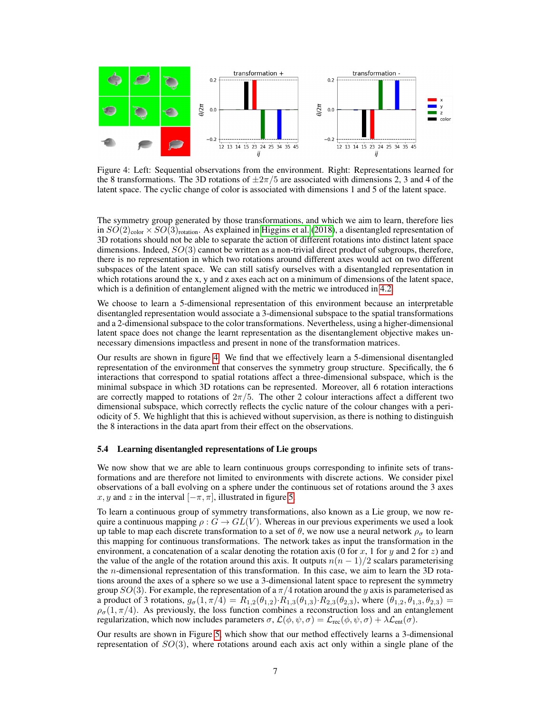<span id="page-6-0"></span>

Figure 4: Left: Sequential observations from the environment. Right: Representations learned for the 8 transformations. The 3D rotations of  $\pm 2\pi/5$  are associated with dimensions 2, 3 and 4 of the latent space. The cyclic change of color is associated with dimensions 1 and 5 of the latent space.

The symmetry group generated by those transformations, and which we aim to learn, therefore lies in  $SO(2)_{\text{color}} \times SO(3)_{\text{rotation}}$ . As explained in [Higgins et al.](#page-9-0) [\(2018\)](#page-9-0), a disentangled representation of 3D rotations should not be able to separate the action of different rotations into distinct latent space dimensions. Indeed,  $SO(3)$  cannot be written as a non-trivial direct product of subgroups, therefore, there is no representation in which two rotations around different axes would act on two different subspaces of the latent space. We can still satisfy ourselves with a disentangled representation in which rotations around the x, y and z axes each act on a minimum of dimensions of the latent space, which is a definition of entanglement aligned with the metric we introduced in [4.2.](#page-3-0)

We choose to learn a 5-dimensional representation of this environment because an interpretable disentangled representation would associate a 3-dimensional subspace to the spatial transformations and a 2-dimensional subspace to the color transformations. Nevertheless, using a higher-dimensional latent space does not change the learnt representation as the disentanglement objective makes unnecessary dimensions impactless and present in none of the transformation matrices.

Our results are shown in figure [4.](#page-6-0) We find that we effectively learn a 5-dimensional disentangled representation of the environment that conserves the symmetry group structure. Specifically, the 6 interactions that correspond to spatial rotations affect a three-dimensional subspace, which is the minimal subspace in which 3D rotations can be represented. Moreover, all 6 rotation interactions are correctly mapped to rotations of  $2\pi/5$ . The other 2 colour interactions affect a different two dimensional subspace, which correctly reflects the cyclic nature of the colour changes with a periodicity of 5. We highlight that this is achieved without supervision, as there is nothing to distinguish the 8 interactions in the data apart from their effect on the observations.

#### 5.4 Learning disentangled representations of Lie groups

We now show that we are able to learn continuous groups corresponding to infinite sets of transformations and are therefore not limited to environments with discrete actions. We consider pixel observations of a ball evolving on a sphere under the continuous set of rotations around the 3 axes x, y and z in the interval  $[-\pi, \pi]$ , illustrated in figure [5.](#page-7-0)

To learn a continuous group of symmetry transformations, also known as a Lie group, we now require a continuous mapping  $\rho : G \to GL(V)$ . Whereas in our previous experiments we used a look up table to map each discrete transformation to a set of  $\theta$ , we now use a neural network  $\rho_{\sigma}$  to learn this mapping for continuous transformations. The network takes as input the transformation in the environment, a concatenation of a scalar denoting the rotation axis (0 for x, 1 for y and 2 for z) and the value of the angle of the rotation around this axis. It outputs  $n(n - 1)/2$  scalars parameterising the *n*-dimensional representation of this transformation. In this case, we aim to learn the 3D rotations around the axes of a sphere so we use a 3-dimensional latent space to represent the symmetry group  $SO(3)$ . For example, the representation of a  $\pi/4$  rotation around the y axis is parameterised as a product of 3 rotations,  $g_{\sigma}(1, \pi/4) = R_{1,2}(\theta_{1,2}) \cdot R_{1,3}(\theta_{1,3}) \cdot R_{2,3}(\theta_{2,3})$ , where  $(\theta_{1,2}, \theta_{1,3}, \theta_{2,3}) =$  $\rho_{\sigma}(1, \pi/4)$ . As previously, the loss function combines a reconstruction loss and an entanglement regularization, which now includes parameters  $\sigma$ ,  $\mathcal{L}(\phi, \psi, \sigma) = \mathcal{L}_{rec}(\phi, \psi, \sigma) + \lambda \mathcal{L}_{ent}(\sigma)$ .

Our results are shown in Figure [5,](#page-7-0) which show that our method effectively learns a 3-dimensional representation of  $SO(3)$ , where rotations around each axis act only within a single plane of the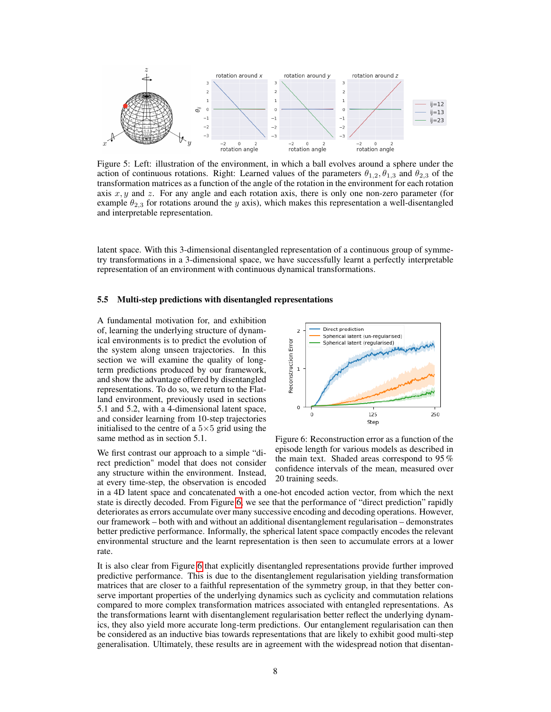<span id="page-7-0"></span>

Figure 5: Left: illustration of the environment, in which a ball evolves around a sphere under the action of continuous rotations. Right: Learned values of the parameters  $\theta_{1,2}, \theta_{1,3}$  and  $\theta_{2,3}$  of the transformation matrices as a function of the angle of the rotation in the environment for each rotation axis  $x, y$  and z. For any angle and each rotation axis, there is only one non-zero parameter (for example  $\theta_{2,3}$  for rotations around the y axis), which makes this representation a well-disentangled and interpretable representation.

latent space. With this 3-dimensional disentangled representation of a continuous group of symmetry transformations in a 3-dimensional space, we have successfully learnt a perfectly interpretable representation of an environment with continuous dynamical transformations.

#### 5.5 Multi-step predictions with disentangled representations

A fundamental motivation for, and exhibition of, learning the underlying structure of dynamical environments is to predict the evolution of the system along unseen trajectories. In this section we will examine the quality of longterm predictions produced by our framework, and show the advantage offered by disentangled representations. To do so, we return to the Flatland environment, previously used in sections 5.1 and 5.2, with a 4-dimensional latent space, and consider learning from 10-step trajectories initialised to the centre of a  $5\times 5$  grid using the same method as in section 5.1.

We first contrast our approach to a simple "direct prediction" model that does not consider any structure within the environment. Instead, at every time-step, the observation is encoded

<span id="page-7-1"></span>

Figure 6: Reconstruction error as a function of the episode length for various models as described in the main text. Shaded areas correspond to 95 % confidence intervals of the mean, measured over 20 training seeds.

in a 4D latent space and concatenated with a one-hot encoded action vector, from which the next state is directly decoded. From Figure [6,](#page-7-1) we see that the performance of "direct prediction" rapidly deteriorates as errors accumulate over many successive encoding and decoding operations. However, our framework – both with and without an additional disentanglement regularisation – demonstrates better predictive performance. Informally, the spherical latent space compactly encodes the relevant environmental structure and the learnt representation is then seen to accumulate errors at a lower rate.

It is also clear from Figure [6](#page-7-1) that explicitly disentangled representations provide further improved predictive performance. This is due to the disentanglement regularisation yielding transformation matrices that are closer to a faithful representation of the symmetry group, in that they better conserve important properties of the underlying dynamics such as cyclicity and commutation relations compared to more complex transformation matrices associated with entangled representations. As the transformations learnt with disentanglement regularisation better reflect the underlying dynamics, they also yield more accurate long-term predictions. Our entanglement regularisation can then be considered as an inductive bias towards representations that are likely to exhibit good multi-step generalisation. Ultimately, these results are in agreement with the widespread notion that disentan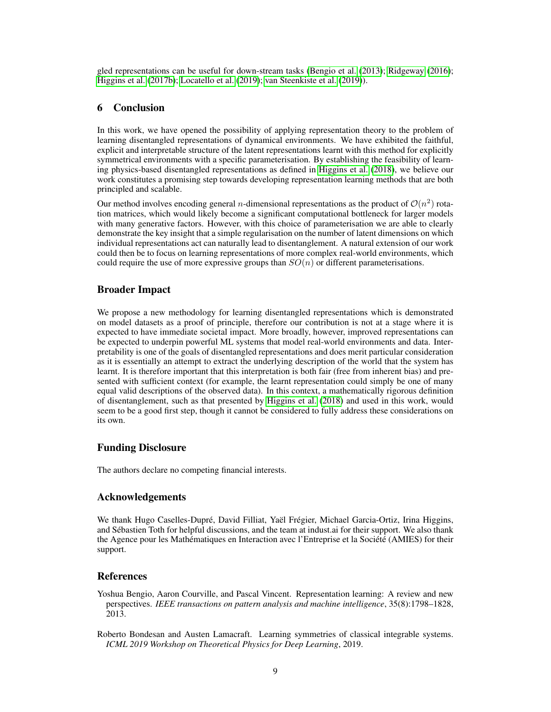gled representations can be useful for down-stream tasks [\(Bengio et al.](#page-8-0) [\(2013\)](#page-8-0); [Ridgeway](#page-10-0) [\(2016\)](#page-10-0); [Higgins et al.](#page-9-3) [\(2017b\)](#page-9-3); [Locatello et al.](#page-10-12) [\(2019\)](#page-10-12); [van Steenkiste et al.](#page-10-13) [\(2019\)](#page-10-13)).

# 6 Conclusion

In this work, we have opened the possibility of applying representation theory to the problem of learning disentangled representations of dynamical environments. We have exhibited the faithful, explicit and interpretable structure of the latent representations learnt with this method for explicitly symmetrical environments with a specific parameterisation. By establishing the feasibility of learning physics-based disentangled representations as defined in [Higgins et al.](#page-9-0) [\(2018\)](#page-9-0), we believe our work constitutes a promising step towards developing representation learning methods that are both principled and scalable.

Our method involves encoding general *n*-dimensional representations as the product of  $\mathcal{O}(n^2)$  rotation matrices, which would likely become a significant computational bottleneck for larger models with many generative factors. However, with this choice of parameterisation we are able to clearly demonstrate the key insight that a simple regularisation on the number of latent dimensions on which individual representations act can naturally lead to disentanglement. A natural extension of our work could then be to focus on learning representations of more complex real-world environments, which could require the use of more expressive groups than  $SO(n)$  or different parameterisations.

## Broader Impact

We propose a new methodology for learning disentangled representations which is demonstrated on model datasets as a proof of principle, therefore our contribution is not at a stage where it is expected to have immediate societal impact. More broadly, however, improved representations can be expected to underpin powerful ML systems that model real-world environments and data. Interpretability is one of the goals of disentangled representations and does merit particular consideration as it is essentially an attempt to extract the underlying description of the world that the system has learnt. It is therefore important that this interpretation is both fair (free from inherent bias) and presented with sufficient context (for example, the learnt representation could simply be one of many equal valid descriptions of the observed data). In this context, a mathematically rigorous definition of disentanglement, such as that presented by [Higgins et al.](#page-9-0) [\(2018\)](#page-9-0) and used in this work, would seem to be a good first step, though it cannot be considered to fully address these considerations on its own.

# Funding Disclosure

The authors declare no competing financial interests.

## Acknowledgements

We thank Hugo Caselles-Dupré, David Filliat, Yaël Frégier, Michael Garcia-Ortiz, Irina Higgins, and Sébastien Toth for helpful discussions, and the team at indust.ai for their support. We also thank the Agence pour les Mathématiques en Interaction avec l'Entreprise et la Société (AMIES) for their support.

## References

<span id="page-8-0"></span>Yoshua Bengio, Aaron Courville, and Pascal Vincent. Representation learning: A review and new perspectives. *IEEE transactions on pattern analysis and machine intelligence*, 35(8):1798–1828, 2013.

<span id="page-8-1"></span>Roberto Bondesan and Austen Lamacraft. Learning symmetries of classical integrable systems. *ICML 2019 Workshop on Theoretical Physics for Deep Learning*, 2019.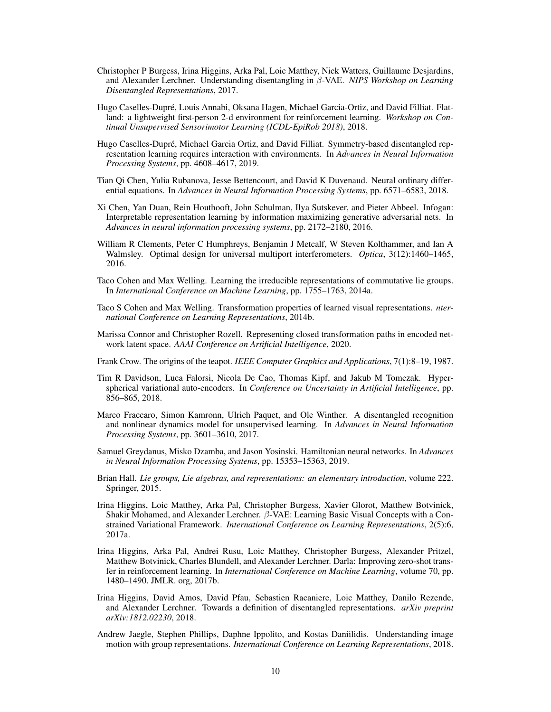- <span id="page-9-16"></span>Christopher P Burgess, Irina Higgins, Arka Pal, Loic Matthey, Nick Watters, Guillaume Desjardins, and Alexander Lerchner. Understanding disentangling in β-VAE. *NIPS Workshop on Learning Disentangled Representations*, 2017.
- <span id="page-9-15"></span>Hugo Caselles-Dupré, Louis Annabi, Oksana Hagen, Michael Garcia-Ortiz, and David Filliat. Flatland: a lightweight first-person 2-d environment for reinforcement learning. *Workshop on Continual Unsupervised Sensorimotor Learning (ICDL-EpiRob 2018)*, 2018.
- <span id="page-9-4"></span>Hugo Caselles-Dupré, Michael Garcia Ortiz, and David Filliat. Symmetry-based disentangled representation learning requires interaction with environments. In *Advances in Neural Information Processing Systems*, pp. 4608–4617, 2019.
- <span id="page-9-10"></span>Tian Qi Chen, Yulia Rubanova, Jesse Bettencourt, and David K Duvenaud. Neural ordinary differential equations. In *Advances in Neural Information Processing Systems*, pp. 6571–6583, 2018.
- <span id="page-9-2"></span>Xi Chen, Yan Duan, Rein Houthooft, John Schulman, Ilya Sutskever, and Pieter Abbeel. Infogan: Interpretable representation learning by information maximizing generative adversarial nets. In *Advances in neural information processing systems*, pp. 2172–2180, 2016.
- <span id="page-9-14"></span>William R Clements, Peter C Humphreys, Benjamin J Metcalf, W Steven Kolthammer, and Ian A Walmsley. Optimal design for universal multiport interferometers. *Optica*, 3(12):1460–1465, 2016.
- <span id="page-9-6"></span>Taco Cohen and Max Welling. Learning the irreducible representations of commutative lie groups. In *International Conference on Machine Learning*, pp. 1755–1763, 2014a.
- <span id="page-9-7"></span>Taco S Cohen and Max Welling. Transformation properties of learned visual representations. *nternational Conference on Learning Representations*, 2014b.
- <span id="page-9-8"></span>Marissa Connor and Christopher Rozell. Representing closed transformation paths in encoded network latent space. *AAAI Conference on Artificial Intelligence*, 2020.
- <span id="page-9-17"></span>Frank Crow. The origins of the teapot. *IEEE Computer Graphics and Applications*, 7(1):8–19, 1987.
- <span id="page-9-13"></span>Tim R Davidson, Luca Falorsi, Nicola De Cao, Thomas Kipf, and Jakub M Tomczak. Hyperspherical variational auto-encoders. In *Conference on Uncertainty in Artificial Intelligence*, pp. 856–865, 2018.
- <span id="page-9-9"></span>Marco Fraccaro, Simon Kamronn, Ulrich Paquet, and Ole Winther. A disentangled recognition and nonlinear dynamics model for unsupervised learning. In *Advances in Neural Information Processing Systems*, pp. 3601–3610, 2017.
- <span id="page-9-11"></span>Samuel Greydanus, Misko Dzamba, and Jason Yosinski. Hamiltonian neural networks. In *Advances in Neural Information Processing Systems*, pp. 15353–15363, 2019.
- <span id="page-9-12"></span>Brian Hall. *Lie groups, Lie algebras, and representations: an elementary introduction*, volume 222. Springer, 2015.
- <span id="page-9-1"></span>Irina Higgins, Loic Matthey, Arka Pal, Christopher Burgess, Xavier Glorot, Matthew Botvinick, Shakir Mohamed, and Alexander Lerchner. β-VAE: Learning Basic Visual Concepts with a Constrained Variational Framework. *International Conference on Learning Representations*, 2(5):6, 2017a.
- <span id="page-9-3"></span>Irina Higgins, Arka Pal, Andrei Rusu, Loic Matthey, Christopher Burgess, Alexander Pritzel, Matthew Botvinick, Charles Blundell, and Alexander Lerchner. Darla: Improving zero-shot transfer in reinforcement learning. In *International Conference on Machine Learning*, volume 70, pp. 1480–1490. JMLR. org, 2017b.
- <span id="page-9-0"></span>Irina Higgins, David Amos, David Pfau, Sebastien Racaniere, Loic Matthey, Danilo Rezende, and Alexander Lerchner. Towards a definition of disentangled representations. *arXiv preprint arXiv:1812.02230*, 2018.
- <span id="page-9-5"></span>Andrew Jaegle, Stephen Phillips, Daphne Ippolito, and Kostas Daniilidis. Understanding image motion with group representations. *International Conference on Learning Representations*, 2018.